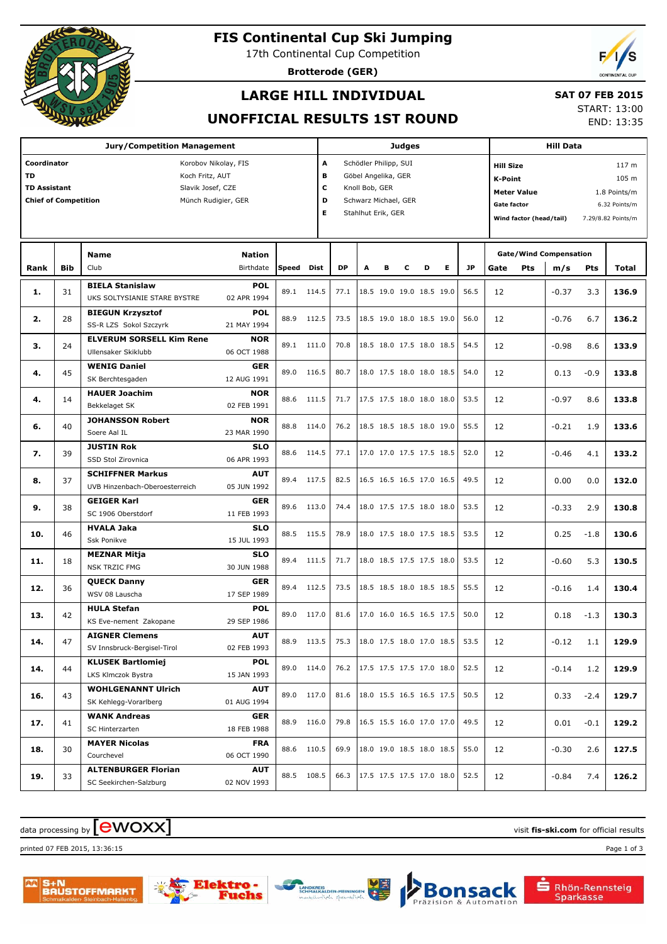

# **FIS Continental Cup Ski Jumping**

17th Continental Cup Competition

**Brotterode (GER)**

# **LARGE HILL INDIVIDUAL**

#### **SAT 07 FEB 2015**

#### **UNOFFICIAL RESULTS 1ST ROUND**

START: 13:00

END: 13:35

| <b>Jury/Competition Management</b>                      |                 |                                                        |                            |       |            |                               | <b>Judges</b>        |                          |   |                                 |    |           |                                     |                                    | <b>Hill Data</b>                     |            |                    |  |  |  |
|---------------------------------------------------------|-----------------|--------------------------------------------------------|----------------------------|-------|------------|-------------------------------|----------------------|--------------------------|---|---------------------------------|----|-----------|-------------------------------------|------------------------------------|--------------------------------------|------------|--------------------|--|--|--|
| Coordinator                                             |                 | Korobov Nikolay, FIS                                   | Schödler Philipp, SUI<br>A |       |            |                               |                      |                          |   | 117 m<br><b>Hill Size</b>       |    |           |                                     |                                    |                                      |            |                    |  |  |  |
| TD                                                      | Koch Fritz, AUT |                                                        |                            |       |            |                               |                      | В<br>Göbel Angelika, GER |   |                                 |    |           |                                     |                                    | 105 m<br>K-Point                     |            |                    |  |  |  |
| <b>TD Assistant</b><br>Slavik Josef, CZE                |                 |                                                        |                            |       |            |                               | c<br>Knoll Bob, GER  |                          |   |                                 |    |           |                                     | <b>Meter Value</b><br>1.8 Points/m |                                      |            |                    |  |  |  |
| <b>Chief of Competition</b><br>D<br>Münch Rudigier, GER |                 |                                                        |                            |       |            |                               | Schwarz Michael, GER |                          |   |                                 |    |           | <b>Gate factor</b><br>6.32 Points/m |                                    |                                      |            |                    |  |  |  |
|                                                         |                 |                                                        |                            |       |            |                               | Stahlhut Erik, GER   |                          |   |                                 |    |           |                                     | Wind factor (head/tail)            |                                      |            | 7.29/8.82 Points/m |  |  |  |
|                                                         |                 |                                                        |                            |       |            |                               |                      |                          |   |                                 |    |           |                                     |                                    |                                      |            |                    |  |  |  |
|                                                         |                 |                                                        |                            |       |            |                               |                      |                          |   |                                 |    |           |                                     |                                    |                                      |            |                    |  |  |  |
| Rank                                                    | <b>Bib</b>      | <b>Name</b><br>Club                                    | <b>Nation</b><br>Birthdate | Speed | Dist       | <b>DP</b>                     | A                    | в                        | c | D                               | E. | <b>JP</b> | Gate                                | Pts                                | <b>Gate/Wind Compensation</b><br>m/s | <b>Pts</b> | Total              |  |  |  |
|                                                         |                 |                                                        |                            |       |            |                               |                      |                          |   |                                 |    |           |                                     |                                    |                                      |            |                    |  |  |  |
| 1.                                                      | 31              | <b>BIELA Stanislaw</b><br>UKS SOLTYSIANIE STARE BYSTRE | <b>POL</b><br>02 APR 1994  |       | 89.1 114.5 | 77.1                          |                      |                          |   | 18.5 19.0 19.0 18.5 19.0        |    | 56.5      | 12                                  |                                    | $-0.37$                              | 3.3        | 136.9              |  |  |  |
|                                                         |                 | <b>BIEGUN Krzysztof</b>                                | <b>POL</b>                 |       |            |                               |                      |                          |   |                                 |    |           |                                     |                                    |                                      |            |                    |  |  |  |
| 2.                                                      | 28              | SS-R LZS Sokol Szczyrk                                 | 21 MAY 1994                | 88.9  | 112.5      | 73.5                          |                      |                          |   | 18.5 19.0 18.0 18.5 19.0        |    | 56.0      | 12                                  |                                    | $-0.76$                              | 6.7        | 136.2              |  |  |  |
|                                                         |                 | <b>ELVERUM SORSELL Kim Rene</b>                        | <b>NOR</b>                 |       |            |                               |                      |                          |   |                                 |    |           |                                     |                                    |                                      |            |                    |  |  |  |
| з.                                                      | 24              | Ullensaker Skiklubb                                    | 06 OCT 1988                |       | 89.1 111.0 | 70.8                          |                      |                          |   | 18.5 18.0 17.5 18.0 18.5        |    | 54.5      | 12                                  |                                    | $-0.98$                              | 8.6        | 133.9              |  |  |  |
|                                                         |                 | <b>WENIG Daniel</b>                                    | <b>GER</b>                 |       |            |                               |                      |                          |   |                                 |    |           |                                     |                                    |                                      |            |                    |  |  |  |
| 4.                                                      | 45              | SK Berchtesgaden                                       | 12 AUG 1991                | 89.0  | 116.5      | 80.7                          |                      |                          |   | 18.0 17.5 18.0 18.0 18.5        |    | 54.0      | 12                                  |                                    | 0.13                                 | $-0.9$     | 133.8              |  |  |  |
|                                                         |                 | <b>HAUER Joachim</b>                                   | <b>NOR</b>                 |       |            |                               |                      |                          |   |                                 |    |           |                                     |                                    |                                      |            |                    |  |  |  |
| 4.                                                      | 14              | Bekkelaget SK                                          | 02 FEB 1991                | 88.6  | 111.5      | 71.7                          |                      |                          |   | 17.5 17.5 18.0 18.0 18.0        |    | 53.5      | 12                                  |                                    | $-0.97$                              | 8.6        | 133.8              |  |  |  |
|                                                         | 40              | <b>JOHANSSON Robert</b>                                | <b>NOR</b>                 | 88.8  | 114.0      | 76.2                          |                      |                          |   | 18.5 18.5 18.5 18.0 19.0        |    | 55.5      |                                     |                                    |                                      |            |                    |  |  |  |
| 6.                                                      |                 | Soere Aal IL                                           | 23 MAR 1990                |       |            |                               |                      |                          |   |                                 |    |           | 12                                  |                                    | $-0.21$                              | 1.9        | 133.6              |  |  |  |
| 7.                                                      | 39              | <b>JUSTIN Rok</b>                                      | <b>SLO</b>                 | 88.6  | 114.5      | 77.1                          |                      |                          |   | 17.0 17.0 17.5 17.5 18.5        |    | 52.0      | 12                                  |                                    | $-0.46$                              | 4.1        | 133.2              |  |  |  |
|                                                         |                 | SSD Stol Zirovnica                                     | 06 APR 1993                |       |            |                               |                      |                          |   |                                 |    |           |                                     |                                    |                                      |            |                    |  |  |  |
| 8.                                                      | 37              | <b>SCHIFFNER Markus</b>                                | <b>AUT</b>                 | 89.4  | 117.5      | 82.5                          |                      |                          |   | 16.5 16.5 16.5 17.0 16.5        |    | 49.5      | 12                                  |                                    | 0.00                                 | 0.0        | 132.0              |  |  |  |
|                                                         |                 | UVB Hinzenbach-Oberoesterreich                         | 05 JUN 1992                |       |            |                               |                      |                          |   |                                 |    |           |                                     |                                    |                                      |            |                    |  |  |  |
| 9.                                                      | 38              | <b>GEIGER Karl</b>                                     | <b>GER</b>                 | 89.6  | 113.0      | 74.4                          |                      |                          |   | 18.0 17.5 17.5 18.0 18.0        |    | 53.5      | 12                                  |                                    | $-0.33$                              | 2.9        | 130.8              |  |  |  |
|                                                         |                 | SC 1906 Oberstdorf                                     | 11 FEB 1993                |       |            |                               |                      |                          |   |                                 |    |           |                                     |                                    |                                      |            |                    |  |  |  |
| 10.                                                     | 46              | <b>HVALA Jaka</b>                                      | <b>SLO</b>                 | 88.5  | 115.5      | 78.9                          |                      |                          |   | 18.0 17.5 18.0 17.5 18.5        |    | 53.5      | 12                                  |                                    | 0.25                                 | $-1.8$     | 130.6              |  |  |  |
|                                                         |                 | Ssk Ponikve                                            | 15 JUL 1993                |       |            |                               |                      |                          |   |                                 |    |           |                                     |                                    |                                      |            |                    |  |  |  |
| 11.                                                     | 18              | <b>MEZNAR Mitja</b>                                    | <b>SLO</b>                 | 89.4  | 111.5      | 71.7                          |                      |                          |   | 18.0 18.5 17.5 17.5 18.0        |    | 53.5      | 12                                  |                                    | $-0.60$                              | 5.3        | 130.5              |  |  |  |
|                                                         |                 | <b>NSK TRZIC FMG</b>                                   | 30 JUN 1988                |       |            |                               |                      |                          |   |                                 |    |           |                                     |                                    |                                      |            |                    |  |  |  |
| 12.                                                     | 36              | <b>QUECK Danny</b><br>WSV 08 Lauscha                   | <b>GER</b><br>17 SEP 1989  | 89.4  | 112.5      | 73.5                          |                      |                          |   | 18.5 18.5 18.0 18.5 18.5        |    | 55.5      | 12                                  |                                    | $-0.16$                              | 1.4        | 130.4              |  |  |  |
|                                                         |                 |                                                        |                            |       |            |                               |                      |                          |   |                                 |    |           |                                     |                                    |                                      |            |                    |  |  |  |
| 13.                                                     | 42              | <b>HULA Stefan</b><br>KS Eve-nement Zakopane           | <b>POL</b><br>29 SEP 1986  | 89.0  | 117.0      | 81.6                          |                      |                          |   | 17.0 16.0 16.5 16.5 17.5        |    | 50.0      | 12                                  |                                    | 0.18                                 | $-1.3$     | 130.3              |  |  |  |
|                                                         |                 | <b>AIGNER Clemens</b>                                  | <b>AUT</b>                 |       |            |                               |                      |                          |   |                                 |    |           |                                     |                                    |                                      |            |                    |  |  |  |
| 14.                                                     | 47              | SV Innsbruck-Bergisel-Tirol                            | 02 FEB 1993                |       | 88.9 113.5 | 75.3 18.0 17.5 18.0 17.0 18.5 |                      |                          |   |                                 |    | 53.5      | 12                                  |                                    | $-0.12$                              | 1.1        | 129.9              |  |  |  |
|                                                         |                 | <b>KLUSEK Bartlomiej</b>                               | <b>POL</b>                 |       |            |                               |                      |                          |   |                                 |    |           |                                     |                                    |                                      |            |                    |  |  |  |
| 14.                                                     | 44              | LKS Klmczok Bystra                                     | 15 JAN 1993                |       | 89.0 114.0 |                               |                      |                          |   | 76.2   17.5 17.5 17.5 17.0 18.0 |    | 52.5      | 12                                  |                                    | $-0.14$                              | 1.2        | 129.9              |  |  |  |
|                                                         |                 | <b>WOHLGENANNT Ulrich</b>                              | <b>AUT</b>                 |       |            |                               |                      |                          |   |                                 |    |           |                                     |                                    |                                      |            |                    |  |  |  |
| 16.                                                     | 43              | SK Kehlegg-Vorarlberg                                  | 01 AUG 1994                |       | 89.0 117.0 | 81.6                          |                      |                          |   | 18.0 15.5 16.5 16.5 17.5        |    | 50.5      | 12                                  |                                    | 0.33                                 | $-2.4$     | 129.7              |  |  |  |
|                                                         |                 | <b>WANK Andreas</b>                                    | <b>GER</b>                 |       |            |                               |                      |                          |   |                                 |    |           |                                     |                                    |                                      |            |                    |  |  |  |
| 17.                                                     | 41              | SC Hinterzarten                                        | 18 FEB 1988                |       | 88.9 116.0 | 79.8                          |                      |                          |   | 16.5 15.5 16.0 17.0 17.0        |    | 49.5      | 12                                  |                                    | 0.01                                 | $-0.1$     | 129.2              |  |  |  |
|                                                         |                 | <b>MAYER Nicolas</b>                                   | <b>FRA</b>                 |       | 88.6 110.5 | 69.9                          |                      |                          |   | 18.0 19.0 18.5 18.0 18.5        |    | 55.0      |                                     |                                    |                                      |            |                    |  |  |  |
| 18.                                                     | 30              | Courchevel                                             | 06 OCT 1990                |       |            |                               |                      |                          |   |                                 |    |           | 12                                  |                                    | $-0.30$                              | 2.6        | 127.5              |  |  |  |
| 19.                                                     | 33              | <b>ALTENBURGER Florian</b>                             | <b>AUT</b>                 |       | 88.5 108.5 | 66.3                          |                      |                          |   | 17.5 17.5 17.5 17.0 18.0        |    | 52.5      | 12                                  |                                    | $-0.84$                              | 7.4        | 126.2              |  |  |  |
|                                                         |                 | SC Seekirchen-Salzburg                                 | 02 NOV 1993                |       |            |                               |                      |                          |   |                                 |    |           |                                     |                                    |                                      |            |                    |  |  |  |

## $\alpha$  data processing by  $\boxed{\text{ewOX}}$

printed 07 FEB 2015, 13:36:15 Page 1 of 3







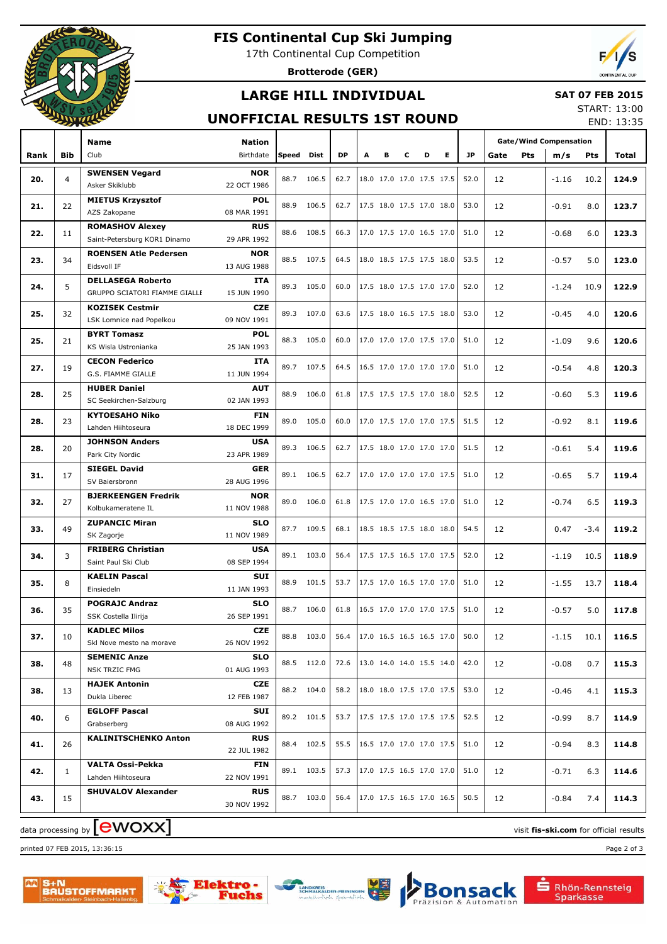

# **FIS Continental Cup Ski Jumping**

17th Continental Cup Competition

**Brotterode (GER)**



## **LARGE HILL INDIVIDUAL**

#### **SAT 07 FEB 2015**

#### **UNOFFICIAL RESULTS 1ST ROUND**

START: 13:00 END: 13:35

|      |                | Name                                          | <b>Nation</b>             |               |            |                                 |                          |                          |   |                          |                                 |      |      |     | <b>Gate/Wind Compensation</b> |        |       |
|------|----------------|-----------------------------------------------|---------------------------|---------------|------------|---------------------------------|--------------------------|--------------------------|---|--------------------------|---------------------------------|------|------|-----|-------------------------------|--------|-------|
| Rank | <b>Bib</b>     | Club                                          | Birthdate                 | Speed<br>Dist |            | <b>DP</b>                       | A<br>в                   |                          | c | D                        | Е                               | JP.  | Gate | Pts | m/s                           | Pts    | Total |
| 20.  | $\overline{4}$ | <b>SWENSEN Vegard</b>                         | <b>NOR</b>                | 88.7          | 106.5      | 62.7                            |                          | 18.0 17.0 17.0 17.5 17.5 |   |                          |                                 | 52.0 | 12   |     | -1.16                         | 10.2   | 124.9 |
|      |                | Asker Skiklubb                                | 22 OCT 1986               |               |            |                                 |                          |                          |   |                          |                                 |      |      |     |                               |        |       |
| 21.  | 22             | <b>MIETUS Krzysztof</b>                       | <b>POL</b>                | 88.9          | 106.5      | 62.7                            |                          | 17.5 18.0 17.5 17.0 18.0 |   |                          |                                 | 53.0 | 12   |     | $-0.91$                       | 8.0    | 123.7 |
|      |                | AZS Zakopane                                  | 08 MAR 1991               |               |            |                                 |                          |                          |   |                          |                                 |      |      |     |                               |        |       |
| 22.  | 11             | <b>ROMASHOV Alexey</b>                        | <b>RUS</b>                | 88.6          | 108.5      | 66.3                            |                          | 17.0 17.5 17.0 16.5 17.0 |   |                          |                                 | 51.0 | 12   |     | $-0.68$                       | 6.0    | 123.3 |
|      |                | Saint-Petersburg KOR1 Dinamo                  | 29 APR 1992               |               |            |                                 |                          |                          |   |                          |                                 |      |      |     |                               |        |       |
| 23.  | 34             | <b>ROENSEN Atle Pedersen</b><br>Eidsvoll IF   | <b>NOR</b><br>13 AUG 1988 |               | 88.5 107.5 | 64.5                            |                          | 18.0 18.5 17.5 17.5 18.0 |   |                          |                                 | 53.5 | 12   |     | $-0.57$                       | 5.0    | 123.0 |
|      |                | <b>DELLASEGA Roberto</b>                      | <b>ITA</b>                |               |            |                                 |                          |                          |   |                          |                                 |      |      |     |                               |        |       |
| 24.  | 5              | GRUPPO SCIATORI FIAMME GIALLE                 | 15 JUN 1990               | 89.3          | 105.0      | 60.0                            |                          | 17.5 18.0 17.5 17.0 17.0 |   |                          |                                 | 52.0 | 12   |     | $-1.24$                       | 10.9   | 122.9 |
|      |                | <b>KOZISEK Cestmir</b>                        | <b>CZE</b>                |               |            |                                 |                          |                          |   |                          |                                 |      |      |     |                               |        |       |
| 25.  | 32             | LSK Lomnice nad Popelkou                      | 09 NOV 1991               | 89.3          | 107.0      | 63.6                            |                          | 17.5 18.0 16.5 17.5 18.0 |   |                          |                                 | 53.0 | 12   |     | $-0.45$                       | 4.0    | 120.6 |
|      |                | <b>BYRT Tomasz</b>                            | <b>POL</b>                | 88.3          | 105.0      |                                 |                          |                          |   |                          |                                 | 51.0 |      |     |                               | 9.6    |       |
| 25.  | 21             | KS Wisla Ustronianka                          | 25 JAN 1993               |               |            | 60.0                            |                          |                          |   | 17.0 17.0 17.0 17.5 17.0 |                                 |      | 12   |     | $-1.09$                       |        | 120.6 |
| 27.  | 19             | <b>CECON Federico</b>                         | <b>ITA</b>                | 89.7          | 107.5      | 64.5                            |                          | 16.5 17.0 17.0 17.0 17.0 |   |                          |                                 | 51.0 | 12   |     | $-0.54$                       | 4.8    | 120.3 |
|      |                | G.S. FIAMME GIALLE                            | 11 JUN 1994               |               |            |                                 |                          |                          |   |                          |                                 |      |      |     |                               |        |       |
| 28.  | 25             | <b>HUBER Daniel</b>                           | <b>AUT</b>                | 88.9          | 106.0      | 61.8                            |                          | 17.5 17.5 17.5 17.0 18.0 |   |                          |                                 | 52.5 | 12   |     | $-0.60$                       | 5.3    | 119.6 |
|      |                | SC Seekirchen-Salzburg                        | 02 JAN 1993               |               |            |                                 |                          |                          |   |                          |                                 |      |      |     |                               |        |       |
| 28.  | 23             | <b>KYTOESAHO Niko</b>                         | <b>FIN</b>                | 89.0          | 105.0      | 60.0                            |                          | 17.0 17.5 17.0 17.0 17.5 |   |                          |                                 | 51.5 | 12   |     | $-0.92$                       | 8.1    | 119.6 |
|      |                | Lahden Hiihtoseura<br><b>JOHNSON Anders</b>   | 18 DEC 1999<br><b>USA</b> |               |            |                                 |                          |                          |   |                          |                                 |      |      |     |                               |        |       |
| 28.  | 20             | Park City Nordic                              | 23 APR 1989               | 89.3          | 106.5      | 62.7                            |                          | 17.5 18.0 17.0 17.0 17.0 |   |                          |                                 | 51.5 | 12   |     | $-0.61$                       | 5.4    | 119.6 |
|      |                | <b>SIEGEL David</b>                           | <b>GER</b>                |               |            |                                 |                          |                          |   |                          |                                 |      |      |     |                               |        |       |
| 31.  | 17             | SV Baiersbronn                                | 28 AUG 1996               | 89.1          | 106.5      | 62.7                            |                          | 17.0 17.0 17.0 17.0 17.5 |   |                          |                                 | 51.0 | 12   |     | $-0.65$                       | 5.7    | 119.4 |
|      |                | <b>BJERKEENGEN Fredrik</b>                    | <b>NOR</b>                |               |            |                                 |                          |                          |   |                          |                                 |      |      |     |                               |        |       |
| 32.  | 27             | Kolbukameratene IL                            | 11 NOV 1988               | 89.0          | 106.0      | 61.8                            |                          |                          |   |                          | 17.5 17.0 17.0 16.5 17.0        | 51.0 | 12   |     | $-0.74$                       | 6.5    | 119.3 |
| 33.  | 49             | <b>ZUPANCIC Miran</b>                         | <b>SLO</b>                | 87.7          | 109.5      | 68.1                            |                          |                          |   | 18.5 18.5 17.5 18.0 18.0 |                                 | 54.5 | 12   |     | 0.47                          | $-3.4$ | 119.2 |
|      |                | SK Zagorje                                    | 11 NOV 1989               |               |            |                                 |                          |                          |   |                          |                                 |      |      |     |                               |        |       |
| 34.  | 3              | <b>FRIBERG Christian</b>                      | <b>USA</b>                | 89.1          | 103.0      | 56.4                            |                          |                          |   |                          | 17.5 17.5 16.5 17.0 17.5        | 52.0 | 12   |     | $-1.19$                       | 10.5   | 118.9 |
|      |                | Saint Paul Ski Club                           | 08 SEP 1994               |               |            |                                 |                          |                          |   |                          |                                 |      |      |     |                               |        |       |
| 35.  | 8              | <b>KAELIN Pascal</b>                          | SUI                       | 88.9          | 101.5      | 53.7                            | 17.5 17.0 16.5 17.0 17.0 |                          |   |                          |                                 | 51.0 | 12   |     | $-1.55$                       | 13.7   | 118.4 |
|      |                | Einsiedeln                                    | 11 JAN 1993               |               |            |                                 |                          |                          |   |                          |                                 |      |      |     |                               |        |       |
| 36.  | 35             | <b>POGRAJC Andraz</b><br>SSK Costella Ilirija | <b>SLO</b><br>26 SEP 1991 | 88.7          | 106.0      | 61.8                            |                          | 16.5 17.0 17.0 17.0 17.5 |   |                          |                                 | 51.0 | 12   |     | $-0.57$                       | 5.0    | 117.8 |
|      |                | <b>KADLEC Milos</b>                           | <b>CZE</b>                |               |            |                                 |                          |                          |   |                          |                                 |      |      |     |                               |        |       |
| 37.  | 10             | Skl Nove mesto na morave                      | 26 NOV 1992               |               | 88.8 103.0 | 56.4                            |                          | 17.0 16.5 16.5 16.5 17.0 |   |                          |                                 | 50.0 | 12   |     | $-1.15$ 10.1                  |        | 116.5 |
|      |                | <b>SEMENIC Anze</b>                           | <b>SLO</b>                |               |            |                                 |                          |                          |   |                          |                                 |      |      |     |                               |        |       |
| 38.  | 48             | NSK TRZIC FMG                                 | 01 AUG 1993               |               | 88.5 112.0 | 72.6 13.0 14.0 14.0 15.5 14.0   |                          |                          |   |                          |                                 | 42.0 | 12   |     | $-0.08$                       | 0.7    | 115.3 |
|      |                | <b>HAJEK Antonin</b>                          | <b>CZE</b>                |               | 88.2 104.0 | 58.2   18.0 18.0 17.5 17.0 17.5 |                          |                          |   |                          |                                 | 53.0 |      |     |                               |        |       |
| 38.  | 13             | Dukla Liberec                                 | 12 FEB 1987               |               |            |                                 |                          |                          |   |                          |                                 |      | 12   |     | -0.46                         | 4.1    | 115.3 |
| 40.  | 6              | <b>EGLOFF Pascal</b>                          | SUI                       |               | 89.2 101.5 | 53.7   17.5 17.5 17.0 17.5 17.5 |                          |                          |   |                          |                                 | 52.5 |      |     | $-0.99$                       | 8.7    | 114.9 |
|      |                | Grabserberg                                   | 08 AUG 1992               |               |            |                                 |                          |                          |   |                          |                                 |      | 12   |     |                               |        |       |
| 41.  | 26             | <b>KALINITSCHENKO Anton</b>                   | <b>RUS</b>                |               | 88.4 102.5 |                                 |                          |                          |   |                          | 55.5   16.5 17.0 17.0 17.0 17.5 | 51.0 | 12   |     | $-0.94$                       | 8.3    | 114.8 |
|      |                |                                               | 22 JUL 1982               |               |            |                                 |                          |                          |   |                          |                                 |      |      |     |                               |        |       |
| 42.  | 1              | <b>VALTA Ossi-Pekka</b><br>Lahden Hiihtoseura | <b>FIN</b><br>22 NOV 1991 |               | 89.1 103.5 | 57.3   17.0 17.5 16.5 17.0 17.0 |                          |                          |   |                          |                                 | 51.0 | 12   |     | -0.71                         | 6.3    | 114.6 |
|      |                | <b>SHUVALOV Alexander</b>                     | <b>RUS</b>                |               |            |                                 |                          |                          |   |                          |                                 |      |      |     |                               |        |       |
| 43.  | 15             |                                               | 30 NOV 1992               |               | 88.7 103.0 | 56.4   17.0 17.5 16.5 17.0 16.5 |                          |                          |   |                          |                                 | 50.5 | 12   |     | -0.84                         | 7.4    | 114.3 |
|      |                |                                               |                           |               |            |                                 |                          |                          |   |                          |                                 |      |      |     |                               |        |       |

printed 07 FEB 2015, 13:36:15 Page 2 of 3









Rhön-Rennsteig<br>Sparkasse

sack

utomation